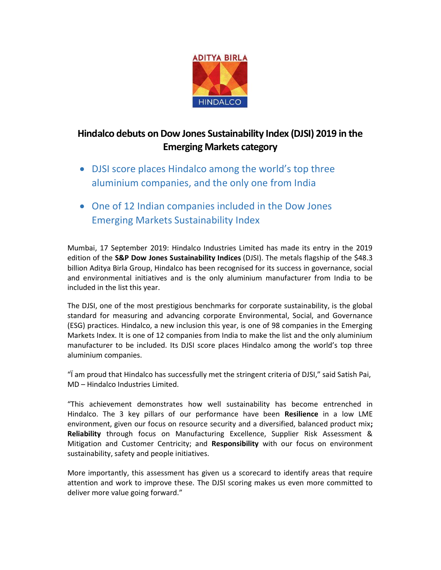

## Hindalco debuts on Dow Jones Sustainability Index (DJSI) 2019 in the Emerging Markets category

- DJSI score places Hindalco among the world's top three aluminium companies, and the only one from India
- One of 12 Indian companies included in the Dow Jones Emerging Markets Sustainability Index

Mumbai, 17 September 2019: Hindalco Industries Limited has made its entry in the 2019 edition of the S&P Dow Jones Sustainability Indices (DJSI). The metals flagship of the \$48.3 billion Aditya Birla Group, Hindalco has been recognised for its success in governance, social and environmental initiatives and is the only aluminium manufacturer from India to be included in the list this year.

The DJSI, one of the most prestigious benchmarks for corporate sustainability, is the global standard for measuring and advancing corporate Environmental, Social, and Governance (ESG) practices. Hindalco, a new inclusion this year, is one of 98 companies in the Emerging Markets Index. It is one of 12 companies from India to make the list and the only aluminium manufacturer to be included. Its DJSI score places Hindalco among the world's top three aluminium companies.

"Ï am proud that Hindalco has successfully met the stringent criteria of DJSI," said Satish Pai, MD – Hindalco Industries Limited.

"This achievement demonstrates how well sustainability has become entrenched in Hindalco. The 3 key pillars of our performance have been Resilience in a low LME environment, given our focus on resource security and a diversified, balanced product mix; Reliability through focus on Manufacturing Excellence, Supplier Risk Assessment & Mitigation and Customer Centricity; and Responsibility with our focus on environment sustainability, safety and people initiatives.

More importantly, this assessment has given us a scorecard to identify areas that require attention and work to improve these. The DJSI scoring makes us even more committed to deliver more value going forward."